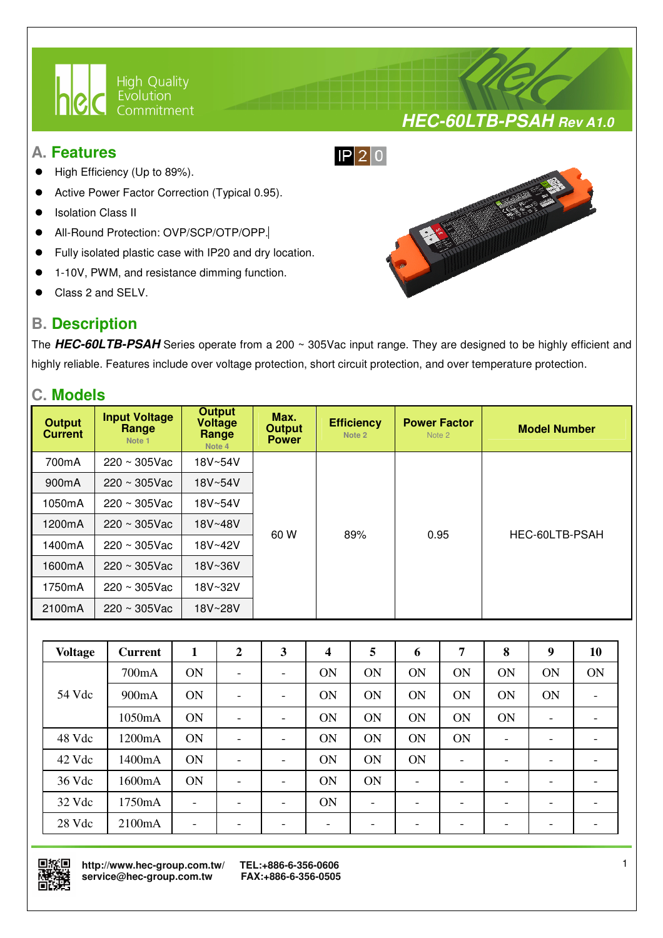

### **A. Features**

- High Efficiency (Up to 89%).
- Active Power Factor Correction (Typical 0.95).
- Isolation Class II
- All-Round Protection: OVP/SCP/OTP/OPP.
- Fully isolated plastic case with IP20 and dry location.

I

- 1-10V, PWM, and resistance dimming function.
- Class 2 and SELV.

## **B. Description**



**HEC-60LTB-PSAH Rev A1.0**

The **HEC-60LTB-PSAH** Series operate from a 200 ~ 305Vac input range. They are designed to be highly efficient and highly reliable. Features include over voltage protection, short circuit protection, and over temperature protection.

### **C. Models**

| <b>Output</b><br><b>Current</b> | <b>Input Voltage</b><br>Range<br>Note 1 | <b>Output</b><br>Voltage<br>Range<br>Note 4 | Max.<br><b>Output</b><br><b>Power</b> | <b>Efficiency</b><br>Note 2 | <b>Power Factor</b><br>Note 2 | <b>Model Number</b> |
|---------------------------------|-----------------------------------------|---------------------------------------------|---------------------------------------|-----------------------------|-------------------------------|---------------------|
| 700mA                           | $220 \sim 305$ Vac                      | 18V~54V                                     |                                       |                             |                               |                     |
| 900 <sub>m</sub> A              | $220 \sim 305$ Vac                      | 18V~54V                                     |                                       |                             |                               |                     |
| 1050mA                          | $220 \sim 305$ Vac                      | 18V~54V                                     |                                       | 89%                         | 0.95                          | HEC-60LTB-PSAH      |
| 1200mA                          | $220 \sim 305$ Vac                      | 18V~48V                                     |                                       |                             |                               |                     |
| 1400mA                          | $220 \sim 305$ Vac                      | 18V~42V                                     | 60 W                                  |                             |                               |                     |
| 1600mA                          | $220 \sim 305$ Vac                      | 18V~36V                                     |                                       |                             |                               |                     |
| 1750mA                          | $220 \sim 305$ Vac                      | 18V~32V                                     |                                       |                             |                               |                     |
| 2100mA                          | $220 \sim 305$ Vac                      | 18V~28V                                     |                                       |                             |                               |                     |

| <b>Voltage</b> | <b>Current</b> | 1                        | $\overline{2}$           | 3                        | 4                        | 5                        | 6                        | 7         | 8  | 9                        | 10                       |
|----------------|----------------|--------------------------|--------------------------|--------------------------|--------------------------|--------------------------|--------------------------|-----------|----|--------------------------|--------------------------|
|                | 700mA          | <b>ON</b>                | $\overline{\phantom{0}}$ | $\overline{\phantom{0}}$ | <b>ON</b>                | ON                       | ON                       | <b>ON</b> | ON | ON                       | ON                       |
| 54 Vdc         | 900mA          | <b>ON</b>                | $\overline{\phantom{a}}$ | -                        | <b>ON</b>                | ON                       | ON                       | <b>ON</b> | ON | <b>ON</b>                | $\overline{\phantom{a}}$ |
|                | 1050mA         | ON                       | $\overline{\phantom{0}}$ | -                        | ON                       | ON                       | ON                       | <b>ON</b> | ON | $\overline{\phantom{0}}$ | -                        |
| 48 Vdc         | 1200mA         | ON                       | $\overline{\phantom{0}}$ | -                        | ON                       | ON                       | ON                       | <b>ON</b> | -  |                          | -                        |
| 42 Vdc         | 1400mA         | ON                       | -                        | -                        | <b>ON</b>                | ON                       | ON                       | ۰         |    |                          | -                        |
| 36 Vdc         | 1600mA         | ON                       | $\overline{\phantom{a}}$ | -                        | <b>ON</b>                | ON                       | $\overline{\phantom{a}}$ | -         |    |                          | $\overline{\phantom{a}}$ |
| 32 Vdc         | 1750mA         | $\overline{\phantom{0}}$ | -                        | $\overline{\phantom{0}}$ | ON                       | $\overline{\phantom{0}}$ | -                        | -         |    |                          | -                        |
| 28 Vdc         | 2100mA         | $\overline{\phantom{0}}$ | -                        | -                        | $\overline{\phantom{0}}$ | $\overline{\phantom{0}}$ | -                        | -         |    |                          | $\overline{\phantom{0}}$ |



 **http://www.hec-group.com.tw/ TEL:+886-6-356-0606**  service@hec-group.com.tw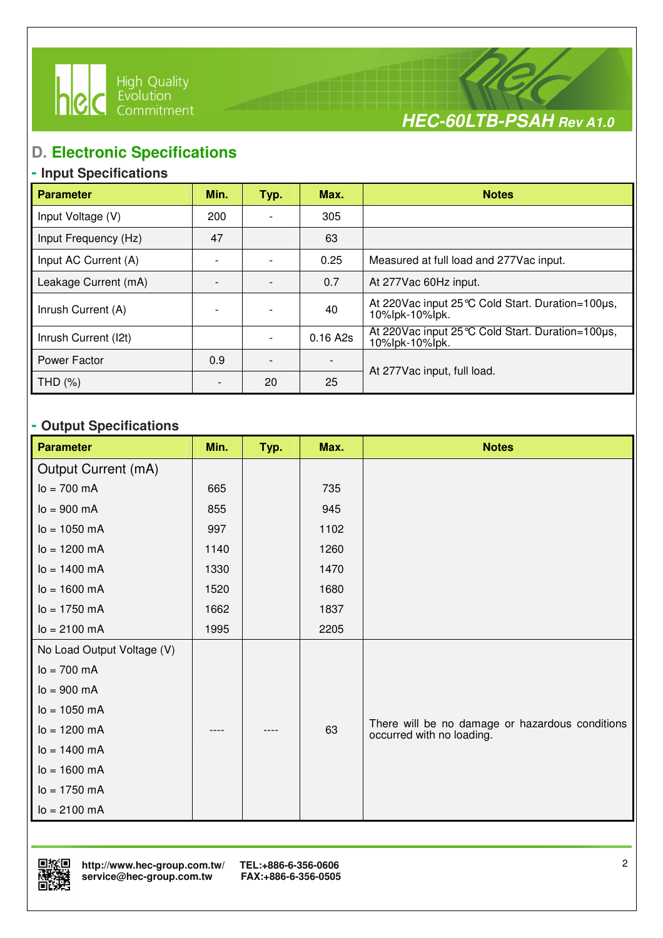



# **D. Electronic Specifications**

I

## **- Input Specifications**

| <b>Parameter</b>     | Min. | Typ. | Max.     | <b>Notes</b>                                                          |
|----------------------|------|------|----------|-----------------------------------------------------------------------|
| Input Voltage (V)    | 200  |      | 305      |                                                                       |
| Input Frequency (Hz) | 47   |      | 63       |                                                                       |
| Input AC Current (A) |      |      | 0.25     | Measured at full load and 277Vac input.                               |
| Leakage Current (mA) |      |      | 0.7      | At 277Vac 60Hz input.                                                 |
| Inrush Current (A)   |      |      | 40       | At 220 Vac input 25 °C Cold Start. Duration=100µs,<br>10%lpk-10%lpk.  |
| Inrush Current (I2t) |      |      | 0.16 A2s | At 220 Vac input 25 °C Cold Start. Duration=100 µs,<br>10%lpk-10%lpk. |
| Power Factor         | 0.9  |      |          | At 277 Vac input, full load.                                          |
| THD (%)              |      | 20   | 25       |                                                                       |

## **- Output Specifications**

| <b>Parameter</b>           | Min. | Typ. | Max. | <b>Notes</b>                                                                 |
|----------------------------|------|------|------|------------------------------------------------------------------------------|
| Output Current (mA)        |      |      |      |                                                                              |
| $lo = 700 mA$              | 665  |      | 735  |                                                                              |
| $I_0 = 900 \, \text{mA}$   | 855  |      | 945  |                                                                              |
| $lo = 1050 mA$             | 997  |      | 1102 |                                                                              |
| $lo = 1200 mA$             | 1140 |      | 1260 |                                                                              |
| $I_0 = 1400$ mA            | 1330 |      | 1470 |                                                                              |
| $lo = 1600 mA$             | 1520 |      | 1680 |                                                                              |
| $lo = 1750$ mA             | 1662 |      | 1837 |                                                                              |
| $lo = 2100 mA$             | 1995 |      | 2205 |                                                                              |
| No Load Output Voltage (V) |      |      |      |                                                                              |
| $lo = 700 mA$              |      |      |      |                                                                              |
| $I_0 = 900 \, \text{mA}$   |      |      |      |                                                                              |
| $lo = 1050 mA$             |      |      |      |                                                                              |
| $lo = 1200 mA$             |      |      | 63   | There will be no damage or hazardous conditions<br>occurred with no loading. |
| $I_0 = 1400$ mA            |      |      |      |                                                                              |
| $lo = 1600 mA$             |      |      |      |                                                                              |
| $lo = 1750 mA$             |      |      |      |                                                                              |
| $lo = 2100 mA$             |      |      |      |                                                                              |

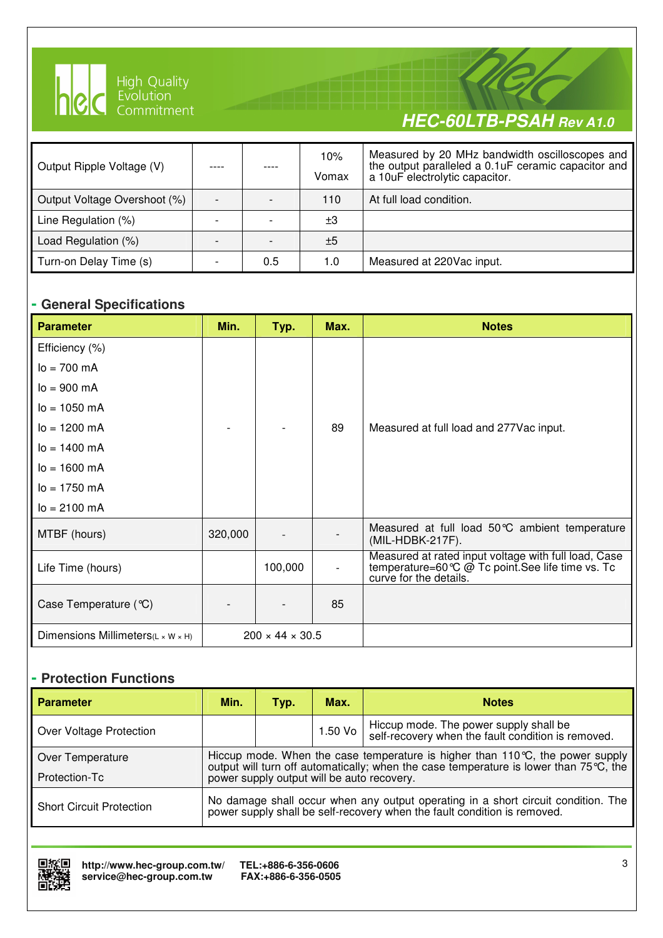

I

# **HEC-60LTB-PSAH Rev A1.0**

| Output Ripple Voltage (V)    |     | 10%<br>Vomax | Measured by 20 MHz bandwidth oscilloscopes and<br>the output paralleled a 0.1uF ceramic capacitor and<br>a 10uF electrolytic capacitor. |
|------------------------------|-----|--------------|-----------------------------------------------------------------------------------------------------------------------------------------|
| Output Voltage Overshoot (%) |     | 110          | At full load condition.                                                                                                                 |
| Line Regulation (%)          |     | $\pm 3$      |                                                                                                                                         |
| Load Regulation (%)          |     | ±5           |                                                                                                                                         |
| Turn-on Delay Time (s)       | 0.5 | 1.0          | Measured at 220Vac input.                                                                                                               |

#### **- General Specifications**

| <b>Parameter</b>                                | Min.    | Typ.                        | Max. | <b>Notes</b>                                                                                                                        |
|-------------------------------------------------|---------|-----------------------------|------|-------------------------------------------------------------------------------------------------------------------------------------|
| Efficiency (%)                                  |         |                             |      |                                                                                                                                     |
| $I_0 = 700$ mA                                  |         |                             |      |                                                                                                                                     |
| $I_0 = 900 \, \text{mA}$                        |         |                             |      |                                                                                                                                     |
| $I_0 = 1050$ mA                                 |         |                             |      |                                                                                                                                     |
| $lo = 1200 mA$                                  |         |                             | 89   | Measured at full load and 277 Vac input.                                                                                            |
| $I_0 = 1400$ mA                                 |         |                             |      |                                                                                                                                     |
| $lo = 1600 mA$                                  |         |                             |      |                                                                                                                                     |
| $lo = 1750 mA$                                  |         |                             |      |                                                                                                                                     |
| $I_0 = 2100 \text{ mA}$                         |         |                             |      |                                                                                                                                     |
| MTBF (hours)                                    | 320,000 |                             |      | Measured at full load 50 °C ambient temperature<br>(MIL-HDBK-217F).                                                                 |
| Life Time (hours)                               |         | 100,000                     |      | Measured at rated input voltage with full load, Case<br>temperature=60 ℃ @ Tc point. See life time vs. Tc<br>curve for the details. |
| Case Temperature $(\mathcal{C})$                |         |                             | 85   |                                                                                                                                     |
| Dimensions Millimeters( $L \times W \times H$ ) |         | $200 \times 44 \times 30.5$ |      |                                                                                                                                     |

### **- Protection Functions**

| <b>Parameter</b>                | Min.                                                                                                                                                          | Typ. | Max.      | <b>Notes</b>                                                                                 |  |  |  |
|---------------------------------|---------------------------------------------------------------------------------------------------------------------------------------------------------------|------|-----------|----------------------------------------------------------------------------------------------|--|--|--|
| Over Voltage Protection         |                                                                                                                                                               |      | $1.50$ Vo | Hiccup mode. The power supply shall be<br>self-recovery when the fault condition is removed. |  |  |  |
| Over Temperature                | Hiccup mode. When the case temperature is higher than $110\degree C$ , the power supply                                                                       |      |           |                                                                                              |  |  |  |
| Protection-Tc                   | output will turn off automatically; when the case temperature is lower than 75 °C, the<br>power supply output will be auto recovery.                          |      |           |                                                                                              |  |  |  |
| <b>Short Circuit Protection</b> | No damage shall occur when any output operating in a short circuit condition. The<br>power supply shall be self-recovery when the fault condition is removed. |      |           |                                                                                              |  |  |  |

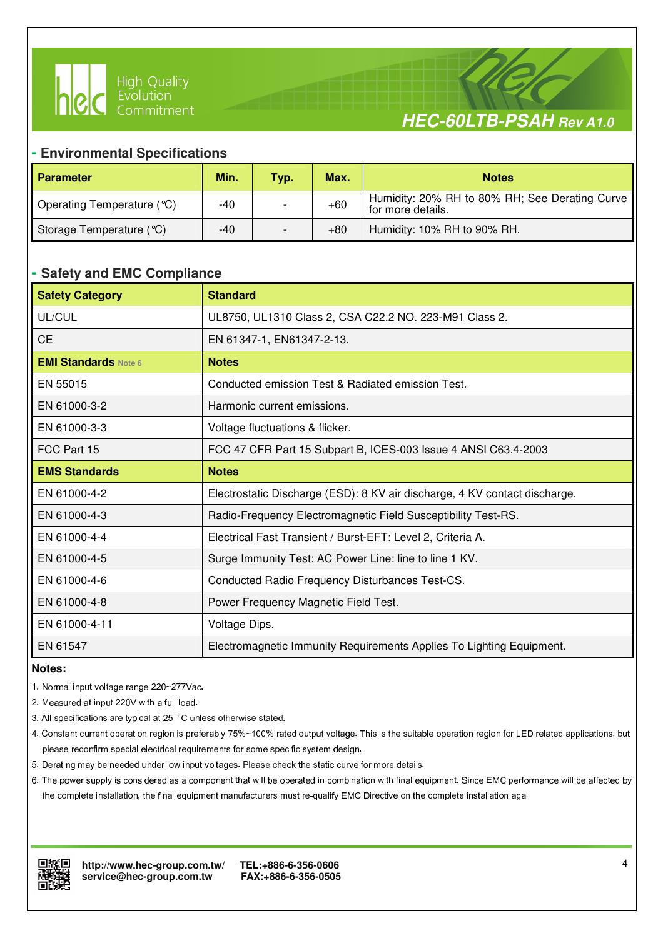



#### **- Environmental Specifications**

I

| <b>Parameter</b>           | Min.  | Typ. | Max.  | <b>Notes</b>                                                        |
|----------------------------|-------|------|-------|---------------------------------------------------------------------|
| Operating Temperature (°C) | -40   |      | $+60$ | Humidity: 20% RH to 80% RH; See Derating Curve<br>for more details. |
| Storage Temperature (°C)   | $-40$ |      | $+80$ | Humidity: 10% RH to 90% RH.                                         |

#### **- Safety and EMC Compliance**

| <b>Safety Category</b>      | <b>Standard</b>                                                            |
|-----------------------------|----------------------------------------------------------------------------|
| UL/CUL                      | UL8750, UL1310 Class 2, CSA C22.2 NO. 223-M91 Class 2.                     |
| <b>CE</b>                   | EN 61347-1, EN61347-2-13.                                                  |
| <b>EMI Standards Note 6</b> | <b>Notes</b>                                                               |
| EN 55015                    | Conducted emission Test & Radiated emission Test.                          |
| EN 61000-3-2                | Harmonic current emissions.                                                |
| EN 61000-3-3                | Voltage fluctuations & flicker.                                            |
| FCC Part 15                 | FCC 47 CFR Part 15 Subpart B, ICES-003 Issue 4 ANSI C63.4-2003             |
| <b>EMS Standards</b>        | <b>Notes</b>                                                               |
| EN 61000-4-2                | Electrostatic Discharge (ESD): 8 KV air discharge, 4 KV contact discharge. |
| EN 61000-4-3                | Radio-Frequency Electromagnetic Field Susceptibility Test-RS.              |
| EN 61000-4-4                | Electrical Fast Transient / Burst-EFT: Level 2, Criteria A.                |
| EN 61000-4-5                | Surge Immunity Test: AC Power Line: line to line 1 KV.                     |
| EN 61000-4-6                | Conducted Radio Frequency Disturbances Test-CS.                            |
| EN 61000-4-8                | Power Frequency Magnetic Field Test.                                       |
| EN 61000-4-11               | Voltage Dips.                                                              |
| EN 61547                    | Electromagnetic Immunity Requirements Applies To Lighting Equipment.       |

#### **Notes:**

- 1. Normal input voltage range 220~277Vac.
- 2. Measured at input 220V with a full load.
- 3. All specifications are typical at 25 °C unless otherwise stated.
- 4. Constant current operation region is preferably 75%~100% rated output voltage. This is the suitable operation region for LED related applications, but please reconfirm special electrical requirements for some specific system design.
- 5. Derating may be needed under low input voltages. Please check the static curve for more details.
- 6. The power supply is considered as a component that will be operated in combination with final equipment. Since EMC performance will be affected by the complete installation, the final equipment manufacturers must re-qualify EMC Directive on the complete installation agai

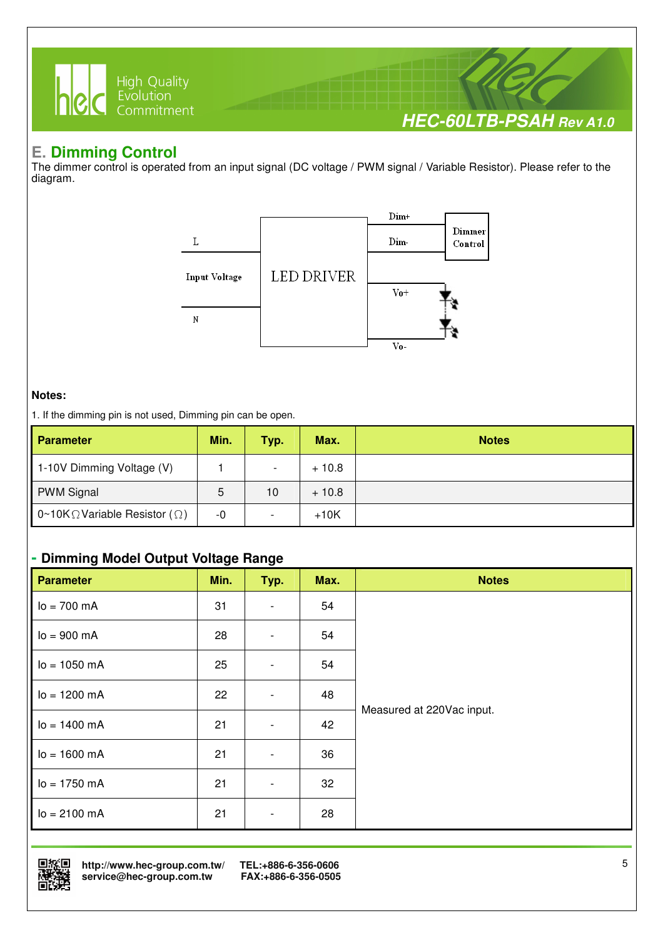

## **E. Dimming Control**

The dimmer control is operated from an input signal (DC voltage / PWM signal / Variable Resistor). Please refer to the diagram.



#### **Notes:**

1. If the dimming pin is not used, Dimming pin can be open.

| <b>Parameter</b>                              | Min. | Typ. | Max.    | <b>Notes</b> |
|-----------------------------------------------|------|------|---------|--------------|
| 1-10V Dimming Voltage (V)                     |      |      | $+10.8$ |              |
| <b>PWM Signal</b>                             | 5    | 10   | $+10.8$ |              |
| 0~10K $\Omega$ Variable Resistor ( $\Omega$ ) | -0   |      | $+10K$  |              |

#### **- Dimming Model Output Voltage Range**

| <b>Parameter</b>        | Min. | Typ.                     | Max. | <b>Notes</b>              |
|-------------------------|------|--------------------------|------|---------------------------|
| $lo = 700 mA$           | 31   | $\overline{\phantom{a}}$ | 54   |                           |
| $I_0 = 900 \text{ mA}$  | 28   | $\overline{\phantom{a}}$ | 54   |                           |
| $lo = 1050 mA$          | 25   | $\overline{\phantom{a}}$ | 54   |                           |
| $lo = 1200 mA$          | 22   | $\overline{\phantom{0}}$ | 48   |                           |
| $I_0 = 1400 \text{ mA}$ | 21   | $\overline{\phantom{0}}$ | 42   | Measured at 220Vac input. |
| $I_0 = 1600 \text{ mA}$ | 21   | $\overline{\phantom{a}}$ | 36   |                           |
| $I_0 = 1750$ mA         | 21   | $\overline{\phantom{0}}$ | 32   |                           |
| $lo = 2100 mA$          | 21   | $\overline{\phantom{a}}$ | 28   |                           |



 **http://www.hec-group.com.tw/ TEL:+886-6-356-0606**   $s$ ervice@hec-group.com.tw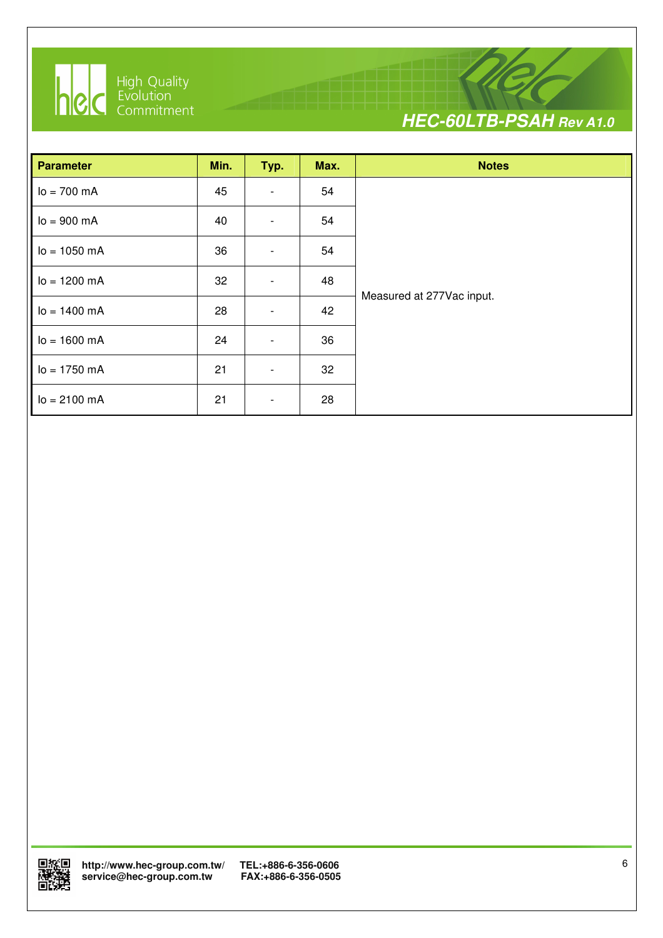

I



| <b>Parameter</b>          | Min. | Typ.                         | Max. | <b>Notes</b>              |
|---------------------------|------|------------------------------|------|---------------------------|
| $lo = 700 mA$             | 45   |                              | 54   |                           |
| $lo = 900 mA$             | 40   | $\qquad \qquad \blacksquare$ | 54   |                           |
| $I_0 = 1050$ mA           | 36   |                              | 54   |                           |
| $lo = 1200 mA$            | 32   | $\overline{\phantom{0}}$     | 48   |                           |
| $I_0 = 1400 \text{ mA}$   | 28   | $\overline{\phantom{a}}$     | 42   | Measured at 277Vac input. |
| $I_0 = 1600 \text{ mA}$   | 24   | $\overline{\phantom{a}}$     | 36   |                           |
| $I_0 = 1750 \, \text{mA}$ | 21   | $\qquad \qquad \blacksquare$ | 32   |                           |
| $lo = 2100 mA$            | 21   |                              | 28   |                           |

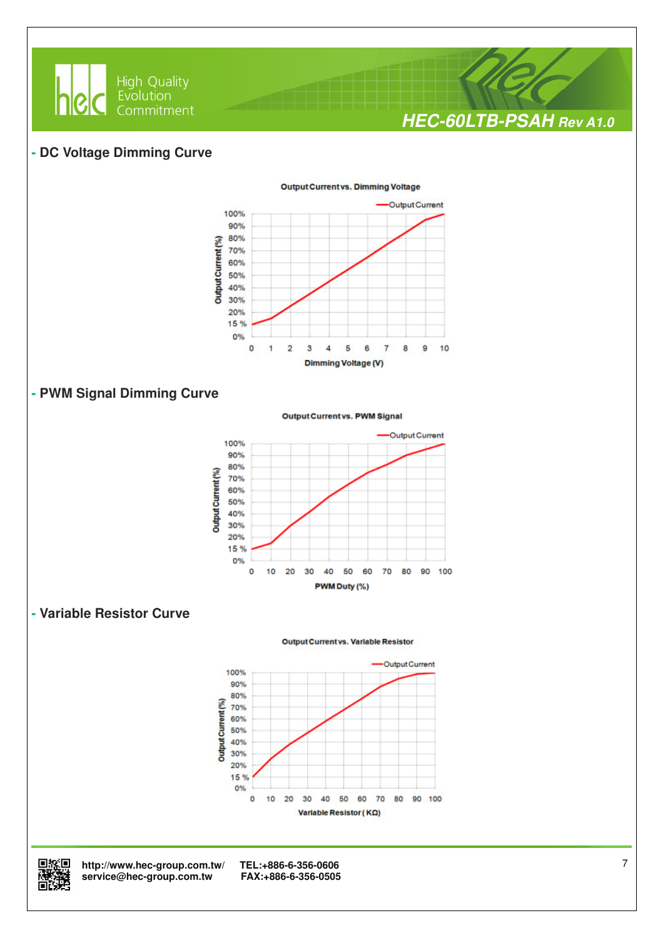

#### **- DC Voltage Dimming Curve**



#### **- PWM Signal Dimming Curve**

Output Current vs. PWM Signal



#### **- Variable Resistor Curve**

**Output Current vs. Variable Resistor** 





回旅回 http://www.hec-group.com.tw/ TEL:+886-6-356-0606<br>**随時難** service@hec-group.com.tw FAX:+886-6-356-0505<br>回設培  $\mathbf{service@hec}\text{-}\mathbf{group.com}$ .tw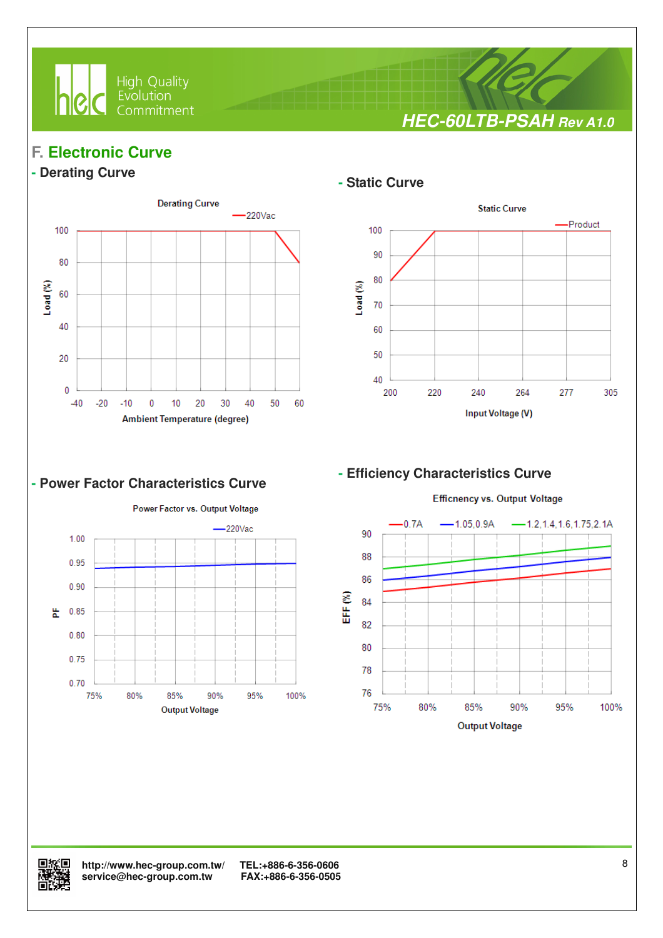

**HEC-60LTB-PSAH Rev A1.0**

## **F. Electronic Curve**

## **- Derating Curve**



I

#### **- Power Factor Characteristics Curve**



#### **- Static Curve**



#### **- Efficiency Characteristics Curve**



**Efficnency vs. Output Voltage** 

回旅回 http://www.hec-group.com.tw/ TEL:+886-6-356-0606<br><del>N题</del>落曲 service@hec-group.com.tw FAX:+886-6-356-0505 **精选** service@hec-group.com.tw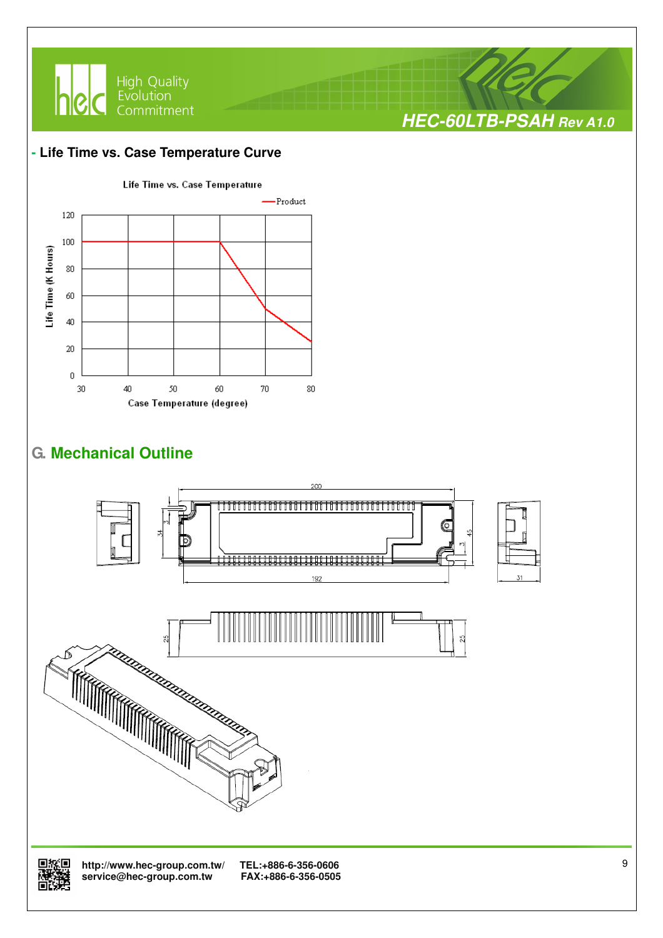

#### **- Life Time vs. Case Temperature Curve**



## **G. Mechanical Outline**





 **http://www.hec-group.com.tw/ TEL:+886-6-356-0606**  service@hec-group.com.tw